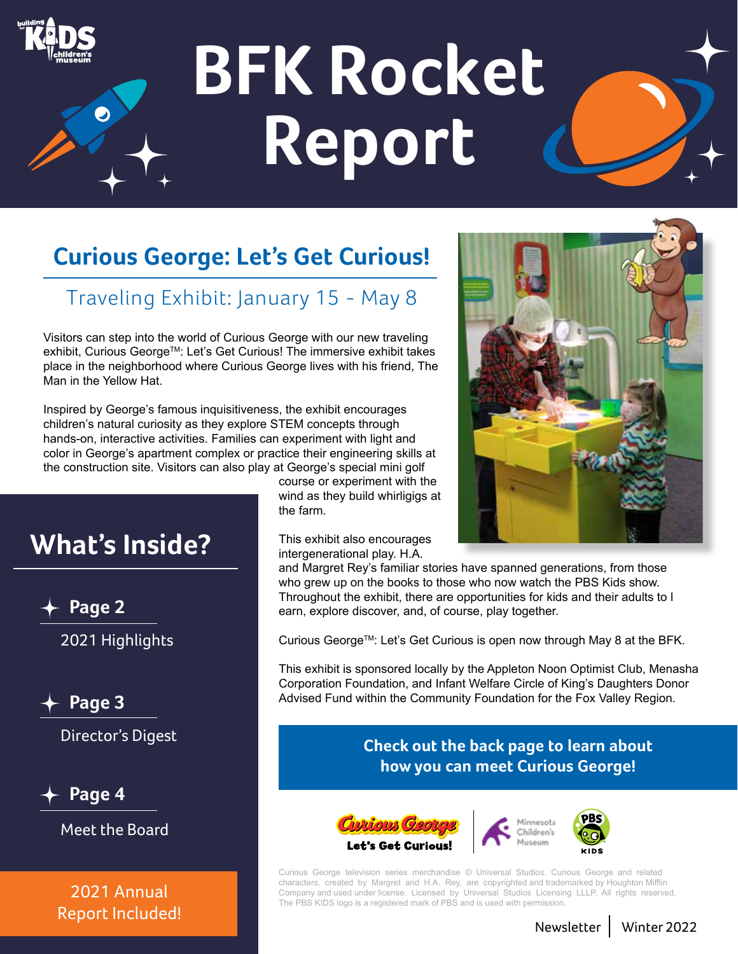

# **BFK Rocket Report**



## Traveling Exhibit: January 15 - May 8

Visitors can step into the world of Curious George with our new traveling exhibit, Curious George™: Let's Get Curious! The immersive exhibit takes place in the neighborhood where Curious George lives with his friend, The Man in the Yellow Hat.

Inspired by George's famous inquisitiveness, the exhibit encourages children's natural curiosity as they explore STEM concepts through hands-on, interactive activities. Families can experiment with light and color in George's apartment complex or practice their engineering skills at the construction site. Visitors can also play at George's special mini golf

## **What's Inside?**

**Page 2**

2021 Highlights

**Page 3**

Director's Digest

**Page 4**

Meet the Board

2021 Annual Report Included! course or experiment with the wind as they build whirligigs at the farm.

This exhibit also encourages intergenerational play. H.A.



and Margret Rey's familiar stories have spanned generations, from those who grew up on the books to those who now watch the PBS Kids show. Throughout the exhibit, there are opportunities for kids and their adults to l earn, explore discover, and, of course, play together.

Curious George™: Let's Get Curious is open now through May 8 at the BFK.

This exhibit is sponsored locally by the Appleton Noon Optimist Club, Menasha Corporation Foundation, and Infant Welfare Circle of King's Daughters Donor Advised Fund within the Community Foundation for the Fox Valley Region.

#### **Check out the back page to learn about how you can meet Curious George!**



Curious George television series merchandise © Universal Studios. Curious George and related characters, created by Margret and H.A. Rey, are copyrighted and trademarked by Houghton Mifflin Company and used under license. Licensed by Universal Studios Licensing LLLP. All rights reserved. The PBS KIDS logo is a registered mark of PBS and is used with permission.

Newsletter Winter 2022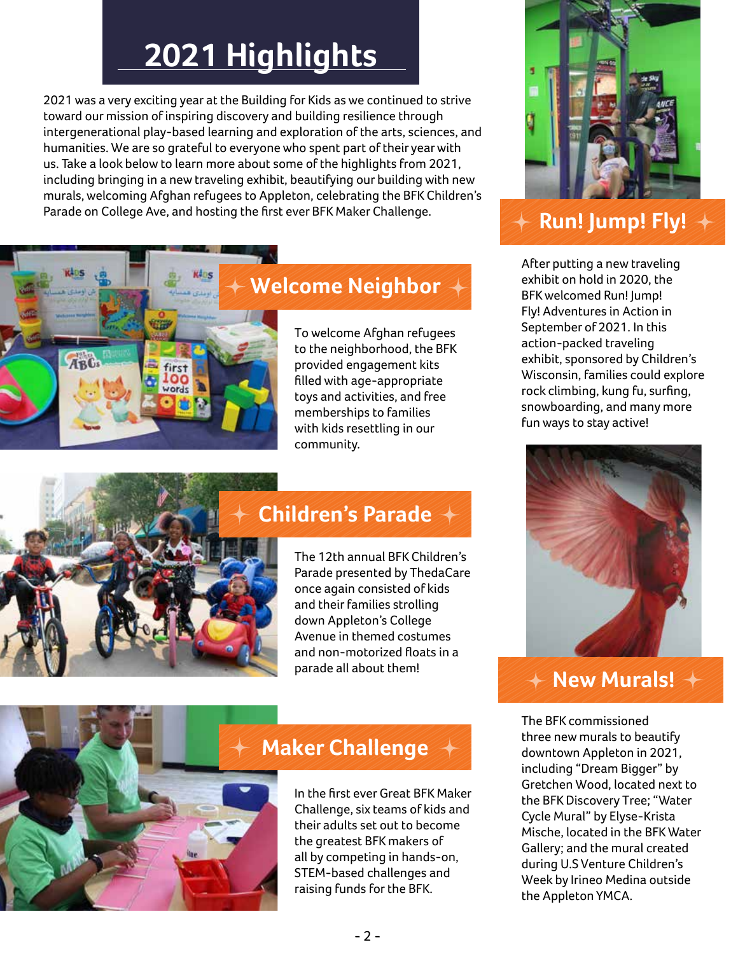# **2021 Highlights**

2021 was a very exciting year at the Building for Kids as we continued to strive toward our mission of inspiring discovery and building resilience through intergenerational play-based learning and exploration of the arts, sciences, and humanities. We are so grateful to everyone who spent part of their year with us. Take a look below to learn more about some of the highlights from 2021, including bringing in a new traveling exhibit, beautifying our building with new murals, welcoming Afghan refugees to Appleton, celebrating the BFK Children's Parade on College Ave, and hosting the first ever BFK Maker Challenge.



## **Welcome Neighbor**

To welcome Afghan refugees to the neighborhood, the BFK provided engagement kits filled with age-appropriate toys and activities, and free memberships to families with kids resettling in our community.



## **Children's Parade**

The 12th annual BFK Children's Parade presented by ThedaCare once again consisted of kids and their families strolling down Appleton's College Avenue in themed costumes and non-motorized floats in a parade all about them!



### **Maker Challenge**

In the first ever Great BFK Maker Challenge, six teams of kids and their adults set out to become the greatest BFK makers of all by competing in hands-on, STEM-based challenges and raising funds for the BFK.



## **Run! Jump! Fly!**

After putting a new traveling exhibit on hold in 2020, the BFK welcomed Run! Jump! Fly! Adventures in Action in September of 2021. In this action-packed traveling exhibit, sponsored by Children's Wisconsin, families could explore rock climbing, kung fu, surfing, snowboarding, and many more fun ways to stay active!



#### **New Murals!**

The BFK commissioned three new murals to beautify downtown Appleton in 2021, including "Dream Bigger" by Gretchen Wood, located next to the BFK Discovery Tree; "Water Cycle Mural" by Elyse-Krista Mische, located in the BFK Water Gallery; and the mural created during U.S Venture Children's Week by Irineo Medina outside the Appleton YMCA.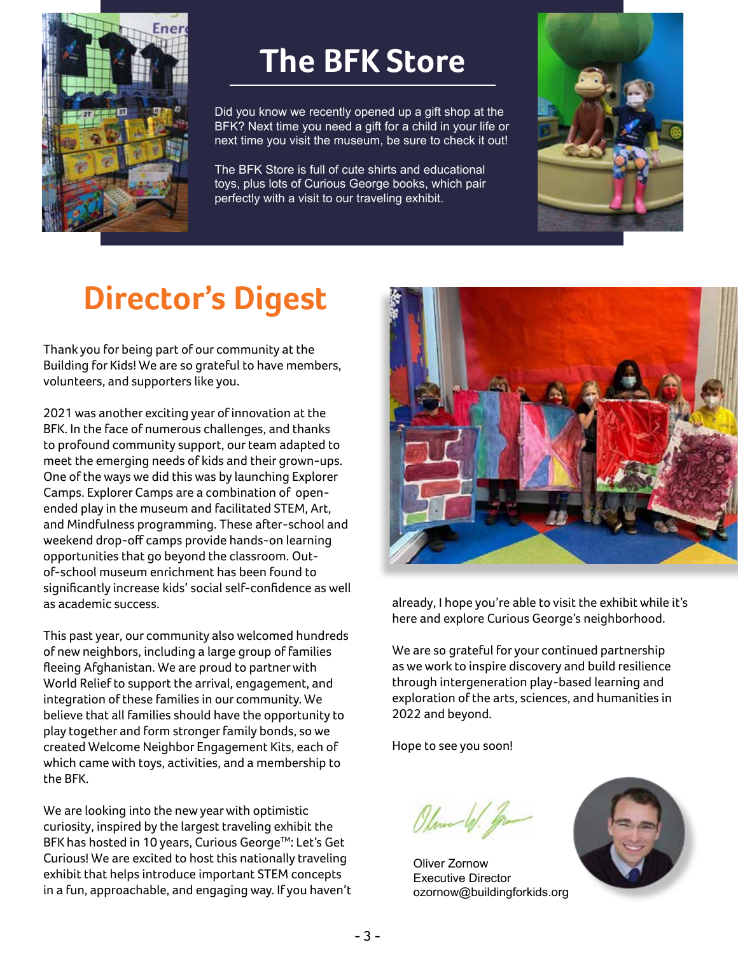

## **The BFK Store**

Did you know we recently opened up a gift shop at the BFK? Next time you need a gift for a child in your life or next time you visit the museum, be sure to check it out!

The BFK Store is full of cute shirts and educational toys, plus lots of Curious George books, which pair perfectly with a visit to our traveling exhibit.



# **Director's Digest**

Thank you for being part of our community at the Building for Kids! We are so grateful to have members, volunteers, and supporters like you.

2021 was another exciting year of innovation at the BFK. In the face of numerous challenges, and thanks to profound community support, our team adapted to meet the emerging needs of kids and their grown-ups. One of the ways we did this was by launching Explorer Camps. Explorer Camps are a combination of openended play in the museum and facilitated STEM, Art, and Mindfulness programming. These after-school and weekend drop-off camps provide hands-on learning opportunities that go beyond the classroom. Outof-school museum enrichment has been found to significantly increase kids' social self-confidence as well as academic success.

This past year, our community also welcomed hundreds of new neighbors, including a large group of families fleeing Afghanistan. We are proud to partner with World Relief to support the arrival, engagement, and integration of these families in our community. We believe that all families should have the opportunity to play together and form stronger family bonds, so we created Welcome Neighbor Engagement Kits, each of which came with toys, activities, and a membership to the BFK.

We are looking into the new year with optimistic curiosity, inspired by the largest traveling exhibit the BFK has hosted in 10 years, Curious George™: Let's Get Curious! We are excited to host this nationally traveling exhibit that helps introduce important STEM concepts in a fun, approachable, and engaging way. If you haven't



already, I hope you're able to visit the exhibit while it's here and explore Curious George's neighborhood.

We are so grateful for your continued partnership as we work to inspire discovery and build resilience through intergeneration play-based learning and exploration of the arts, sciences, and humanities in 2022 and beyond.

Hope to see you soon!

Plember

Oliver Zornow Executive Director ozornow@buildingforkids.org